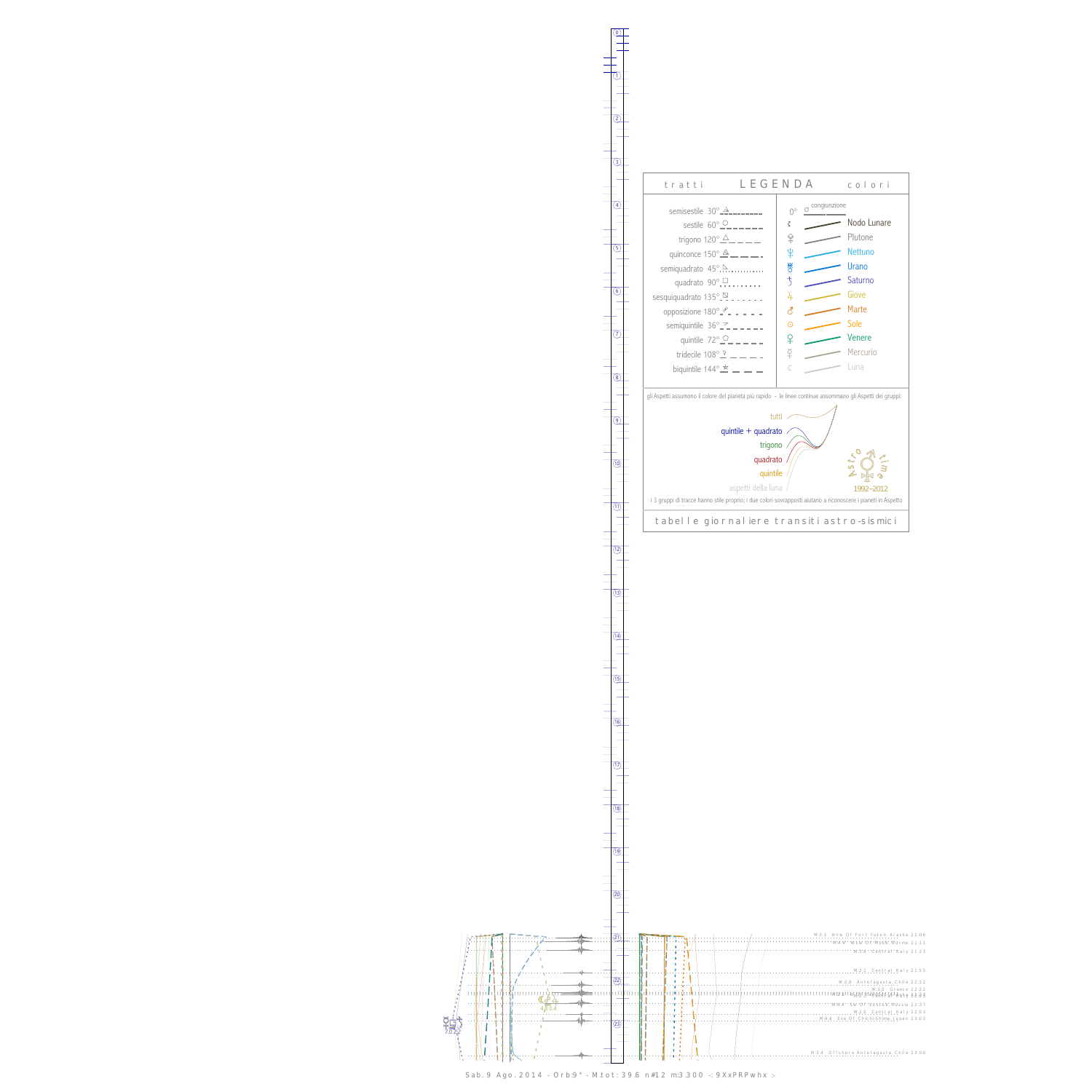0

1





Sab. 9 Ago. 2014 - Orb:9° - M.tot: 39.6 n#12 m:3.300 -: 9XxPRPwhx :-

13

 $\frac{1}{(14)}$